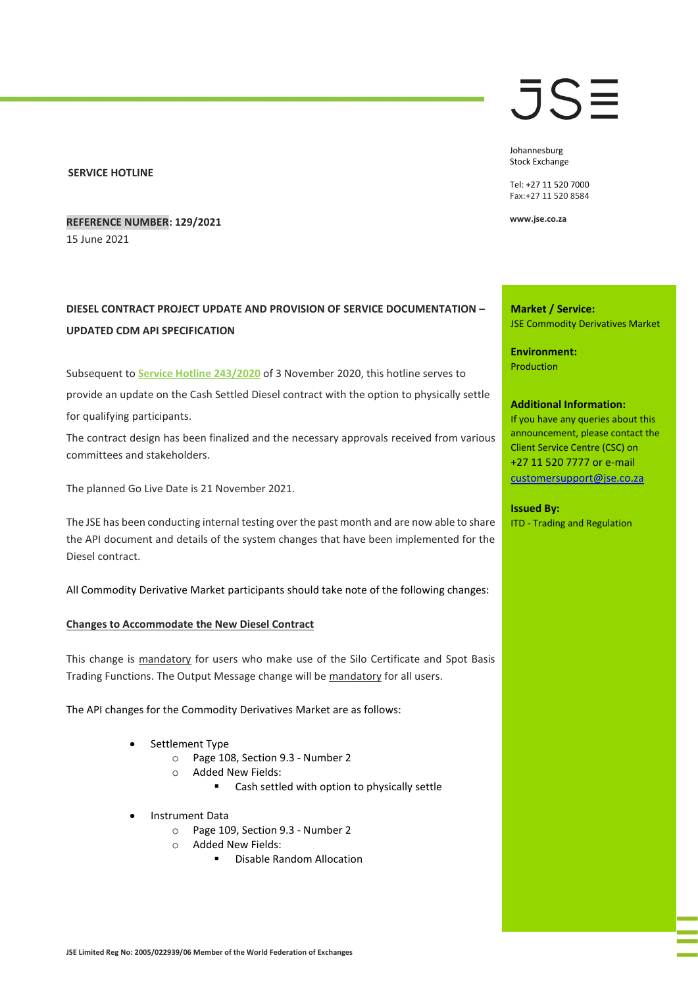### **SERVICE HOTLINE**

**REFERENCE NUMBER: 129/2021** 15 June 2021

# **DIESEL CONTRACT PROJECT UPDATE AND PROVISION OF SERVICE DOCUMENTATION – UPDATED CDM API SPECIFICATION**

Subsequent to **[Service Hotline 243/2020](https://clientportal.jse.co.za/Content/JSEHotlinesItems/JSE%20Service%20Hotline%2024320%20CDM%20-%20Deliverable%20Diesel%20Project%20Update.pdf)** of 3 November 2020, this hotline serves to provide an update on the Cash Settled Diesel contract with the option to physically settle for qualifying participants.

The contract design has been finalized and the necessary approvals received from various committees and stakeholders.

The planned Go Live Date is 21 November 2021.

The JSE has been conducting internal testing over the past month and are now able to share the API document and details of the system changes that have been implemented for the Diesel contract.

All Commodity Derivative Market participants should take note of the following changes:

### **Changes to Accommodate the New Diesel Contract**

This change is mandatory for users who make use of the Silo Certificate and Spot Basis Trading Functions. The Output Message change will be mandatory for all users.

The API changes for the Commodity Derivatives Market are as follows:

- Settlement Type
	- o Page 108, Section 9.3 Number 2
	- o Added New Fields:
		- Cash settled with option to physically settle
- Instrument Data
	- o Page 109, Section 9.3 Number 2
	- o Added New Fields:
		- Disable Random Allocation

# JSE

Johannesburg Stock Exchange

Tel: +27 11 520 7000 Fax:+27 11 520 8584

**www.jse.co.za**

**Market / Service:** JSE Commodity Derivatives Market

**Environment:** Production

#### **Additional Information:**

If you have any queries about this announcement, please contact the Client Service Centre (CSC) on +27 11 520 7777 or e-mail [customersupport@jse.co.za](mailto:customersupport@jse.co.za)

### **Issued By:**

ITD - Trading and Regulation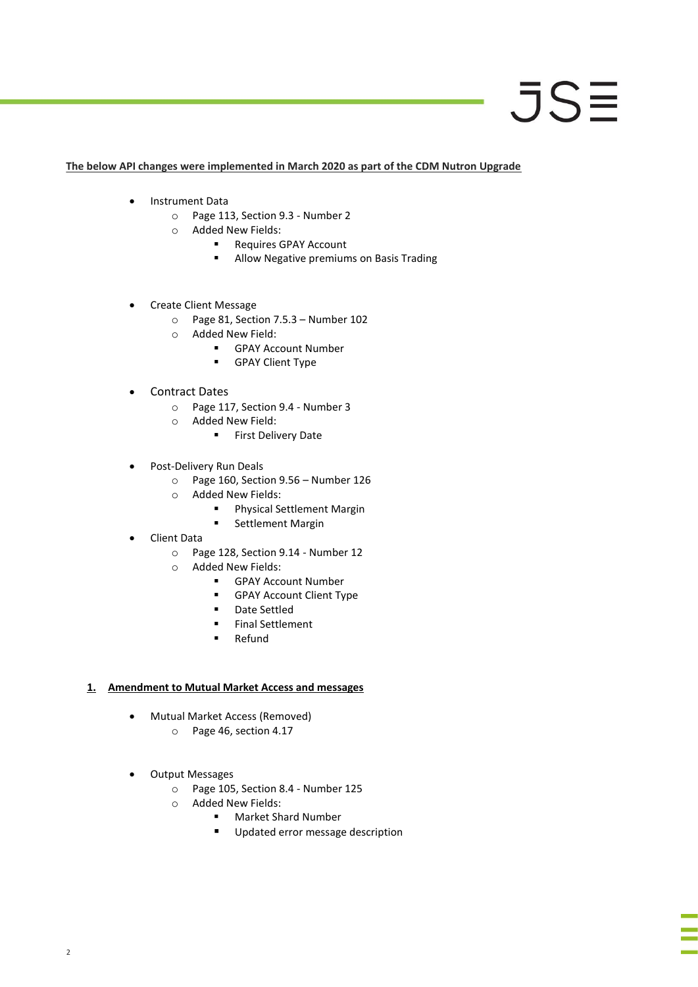# JSE

## **The below API changes were implemented in March 2020 as part of the CDM Nutron Upgrade**

- Instrument Data
	- o Page 113, Section 9.3 Number 2
	- o Added New Fields:
		- Requires GPAY Account
		- Allow Negative premiums on Basis Trading
- Create Client Message
	- o Page 81, Section 7.5.3 Number 102
	- o Added New Field:
		- GPAY Account Number
		- **■** GPAY Client Type
- Contract Dates
	- o Page 117, Section 9.4 Number 3
	- o Added New Field:
		- **·** First Delivery Date
- Post-Delivery Run Deals
	- o Page 160, Section 9.56 Number 126
	- o Added New Fields:
		- Physical Settlement Margin
		- Settlement Margin
- Client Data
	- o Page 128, Section 9.14 Number 12
	- o Added New Fields:
		- **■** GPAY Account Number
		- GPAY Account Client Type
		- Date Settled
		- Final Settlement
		- Refund

# **1. Amendment to Mutual Market Access and messages**

- Mutual Market Access (Removed)
	- o Page 46, section 4.17
- Output Messages
	- o Page 105, Section 8.4 Number 125
	- o Added New Fields:
		- Market Shard Number
			- Updated error message description